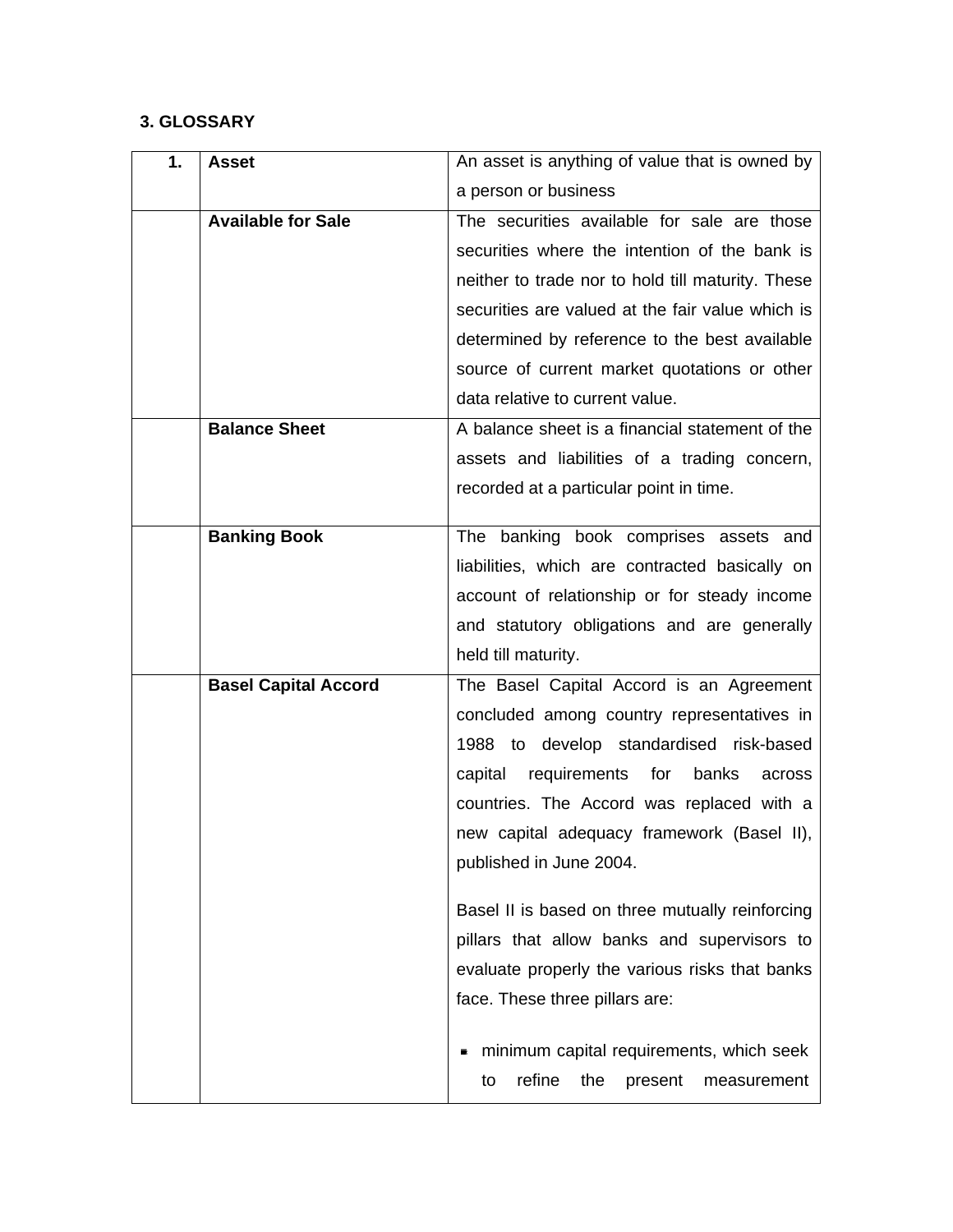## **3. GLOSSARY**

| 1. | <b>Asset</b>                | An asset is anything of value that is owned by    |
|----|-----------------------------|---------------------------------------------------|
|    |                             | a person or business                              |
|    | <b>Available for Sale</b>   | The securities available for sale are those       |
|    |                             | securities where the intention of the bank is     |
|    |                             | neither to trade nor to hold till maturity. These |
|    |                             | securities are valued at the fair value which is  |
|    |                             | determined by reference to the best available     |
|    |                             | source of current market quotations or other      |
|    |                             | data relative to current value.                   |
|    | <b>Balance Sheet</b>        | A balance sheet is a financial statement of the   |
|    |                             | assets and liabilities of a trading concern,      |
|    |                             | recorded at a particular point in time.           |
|    | <b>Banking Book</b>         | The banking book comprises assets and             |
|    |                             | liabilities, which are contracted basically on    |
|    |                             | account of relationship or for steady income      |
|    |                             | and statutory obligations and are generally       |
|    |                             | held till maturity.                               |
|    | <b>Basel Capital Accord</b> | The Basel Capital Accord is an Agreement          |
|    |                             | concluded among country representatives in        |
|    |                             | 1988 to develop standardised risk-based           |
|    |                             | requirements for<br>capital<br>banks<br>across    |
|    |                             | countries. The Accord was replaced with a         |
|    |                             | new capital adequacy framework (Basel II),        |
|    |                             | published in June 2004.                           |
|    |                             |                                                   |
|    |                             | Basel II is based on three mutually reinforcing   |
|    |                             | pillars that allow banks and supervisors to       |
|    |                             | evaluate properly the various risks that banks    |
|    |                             | face. These three pillars are:                    |
|    |                             | minimum capital requirements, which seek          |
|    |                             | refine<br>the<br>to<br>present<br>measurement     |
|    |                             |                                                   |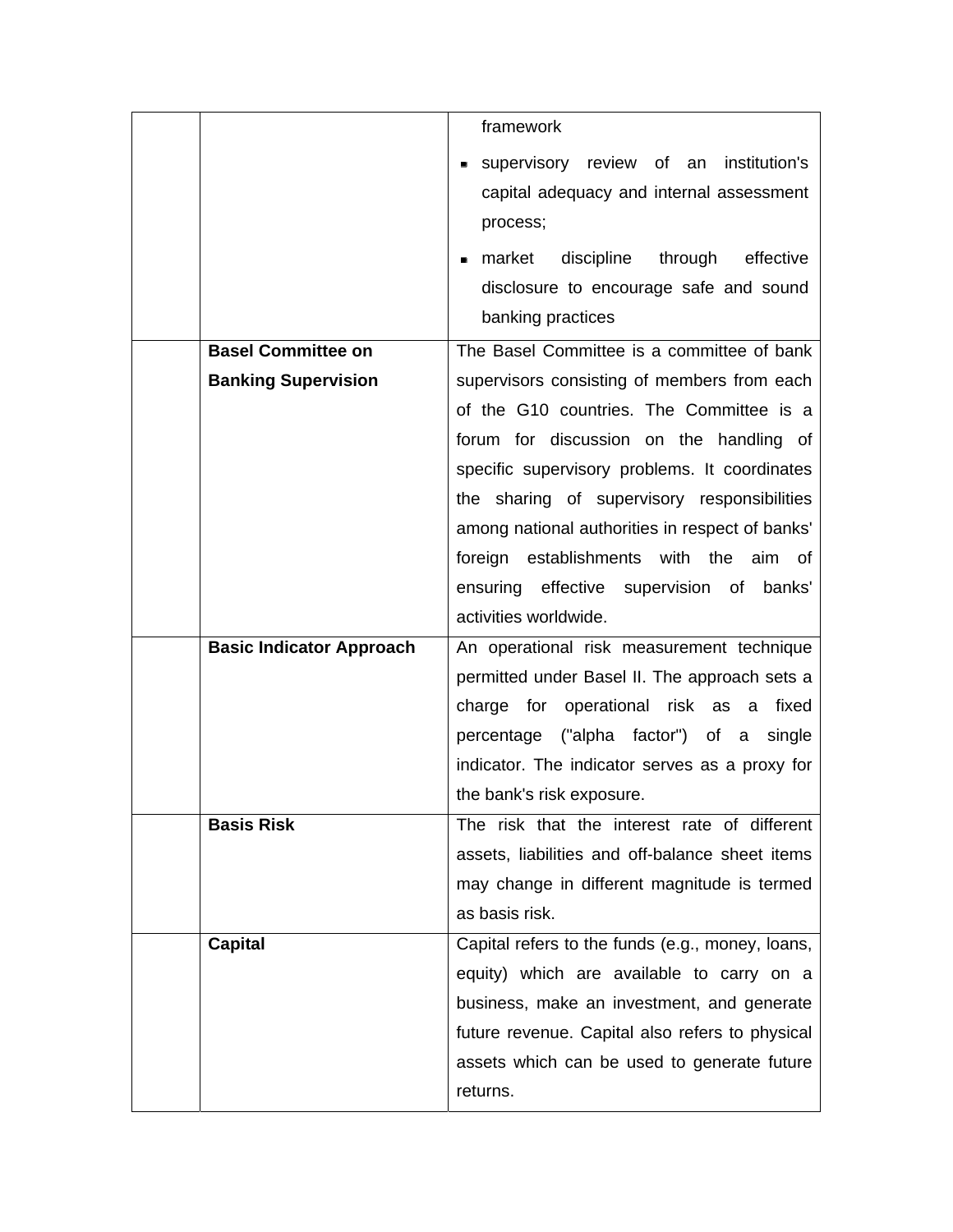|                                 | framework                                                                 |
|---------------------------------|---------------------------------------------------------------------------|
|                                 | supervisory review of an institution's                                    |
|                                 | capital adequacy and internal assessment                                  |
|                                 | process;                                                                  |
|                                 | market<br>discipline<br>through<br>effective                              |
|                                 | disclosure to encourage safe and sound                                    |
|                                 | banking practices                                                         |
| <b>Basel Committee on</b>       | The Basel Committee is a committee of bank                                |
| <b>Banking Supervision</b>      | supervisors consisting of members from each                               |
|                                 | of the G10 countries. The Committee is a                                  |
|                                 | forum for discussion on the handling of                                   |
|                                 | specific supervisory problems. It coordinates                             |
|                                 | the sharing of supervisory responsibilities                               |
|                                 | among national authorities in respect of banks'                           |
|                                 | foreign establishments with the aim of                                    |
|                                 | ensuring effective supervision of banks'                                  |
|                                 | activities worldwide.                                                     |
| <b>Basic Indicator Approach</b> | An operational risk measurement technique                                 |
|                                 | permitted under Basel II. The approach sets a                             |
|                                 | charge for operational risk as a<br>fixed                                 |
|                                 | percentage ("alpha factor") of a<br>single                                |
|                                 | indicator. The indicator serves as a proxy for                            |
| <b>Basis Risk</b>               | the bank's risk exposure.<br>The risk that the interest rate of different |
|                                 | assets, liabilities and off-balance sheet items                           |
|                                 | may change in different magnitude is termed                               |
|                                 | as basis risk.                                                            |
| <b>Capital</b>                  | Capital refers to the funds (e.g., money, loans,                          |
|                                 | equity) which are available to carry on a                                 |
|                                 | business, make an investment, and generate                                |
|                                 | future revenue. Capital also refers to physical                           |
|                                 | assets which can be used to generate future                               |
|                                 | returns.                                                                  |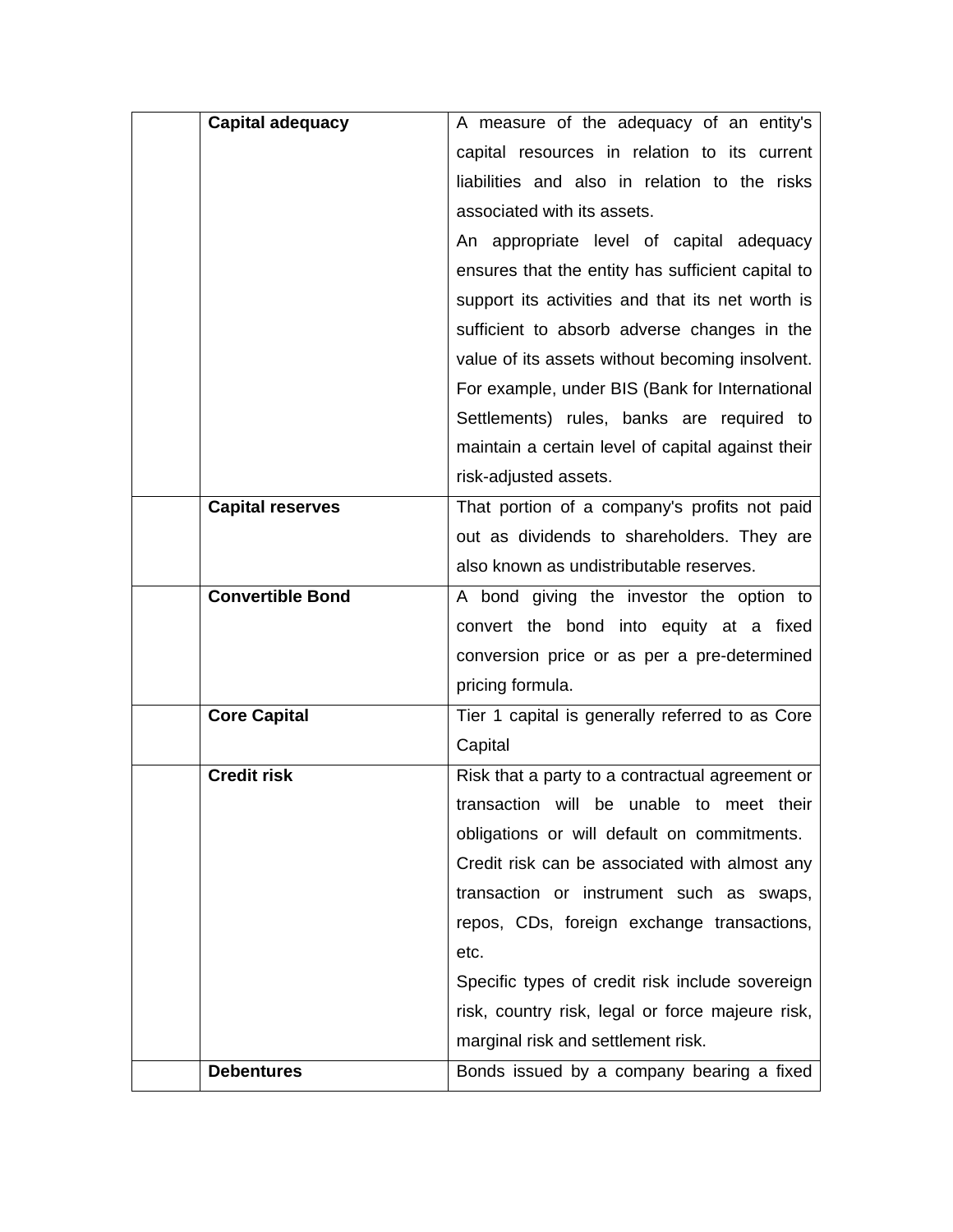| Capital adequacy        | A measure of the adequacy of an entity's          |
|-------------------------|---------------------------------------------------|
|                         | capital resources in relation to its current      |
|                         | liabilities and also in relation to the risks     |
|                         | associated with its assets.                       |
|                         | An appropriate level of capital adequacy          |
|                         | ensures that the entity has sufficient capital to |
|                         | support its activities and that its net worth is  |
|                         | sufficient to absorb adverse changes in the       |
|                         | value of its assets without becoming insolvent.   |
|                         | For example, under BIS (Bank for International    |
|                         | Settlements) rules, banks are required to         |
|                         | maintain a certain level of capital against their |
|                         | risk-adjusted assets.                             |
| <b>Capital reserves</b> | That portion of a company's profits not paid      |
|                         | out as dividends to shareholders. They are        |
|                         | also known as undistributable reserves.           |
| <b>Convertible Bond</b> | A bond giving the investor the option to          |
|                         | convert the bond into equity at a fixed           |
|                         | conversion price or as per a pre-determined       |
|                         | pricing formula.                                  |
| <b>Core Capital</b>     | Tier 1 capital is generally referred to as Core   |
|                         | Capital                                           |
| <b>Credit risk</b>      | Risk that a party to a contractual agreement or   |
|                         | transaction will be unable to meet their          |
|                         | obligations or will default on commitments.       |
|                         | Credit risk can be associated with almost any     |
|                         | transaction or instrument such as swaps,          |
|                         | repos, CDs, foreign exchange transactions,        |
|                         | etc.                                              |
|                         | Specific types of credit risk include sovereign   |
|                         | risk, country risk, legal or force majeure risk,  |
|                         | marginal risk and settlement risk.                |
| <b>Debentures</b>       | Bonds issued by a company bearing a fixed         |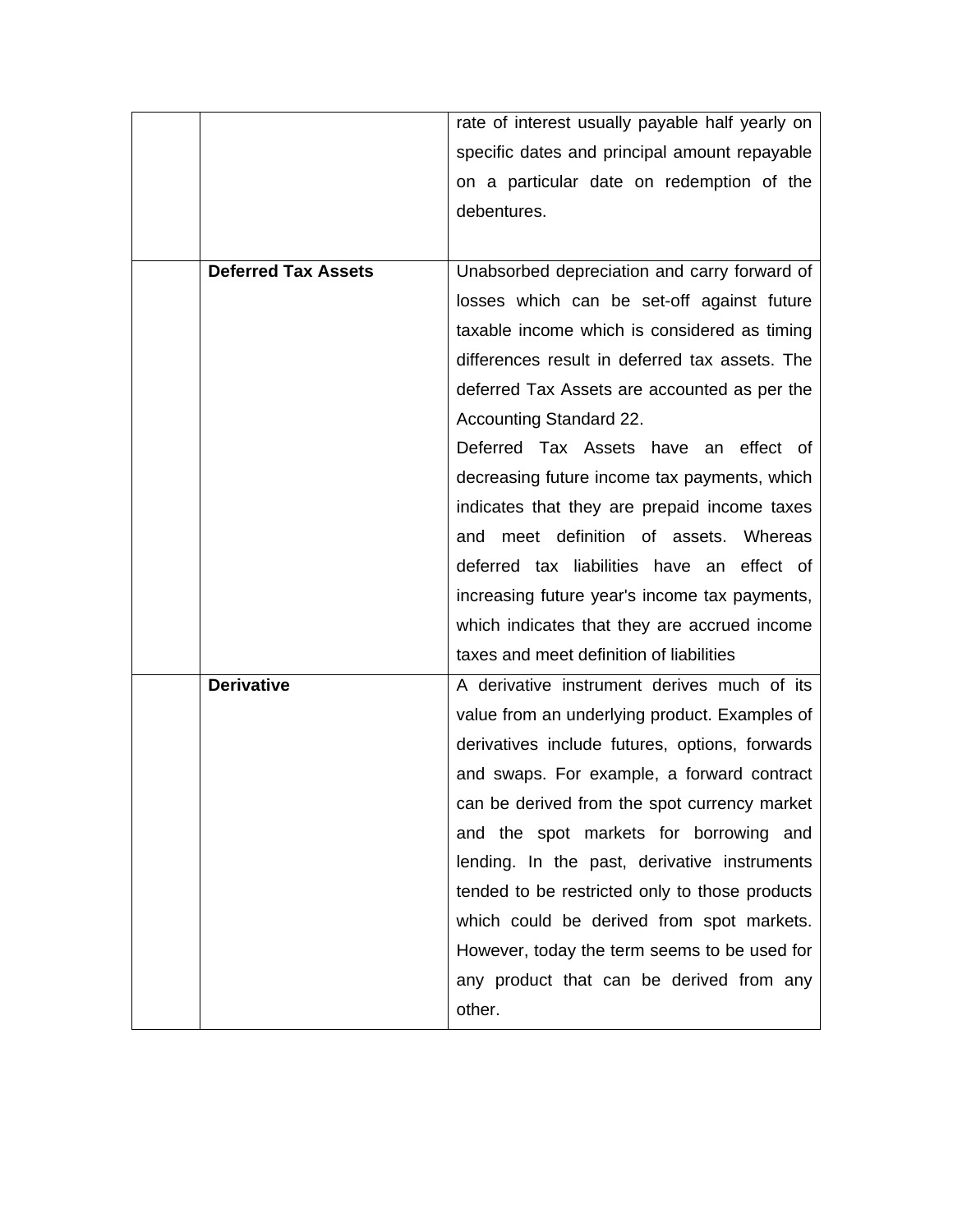|                            | rate of interest usually payable half yearly on |
|----------------------------|-------------------------------------------------|
|                            | specific dates and principal amount repayable   |
|                            | on a particular date on redemption of the       |
|                            | debentures.                                     |
|                            |                                                 |
| <b>Deferred Tax Assets</b> | Unabsorbed depreciation and carry forward of    |
|                            | losses which can be set-off against future      |
|                            | taxable income which is considered as timing    |
|                            | differences result in deferred tax assets. The  |
|                            | deferred Tax Assets are accounted as per the    |
|                            | <b>Accounting Standard 22.</b>                  |
|                            | Deferred Tax Assets have an effect of           |
|                            | decreasing future income tax payments, which    |
|                            | indicates that they are prepaid income taxes    |
|                            | and meet definition of assets. Whereas          |
|                            | deferred tax liabilities have an effect of      |
|                            | increasing future year's income tax payments,   |
|                            | which indicates that they are accrued income    |
|                            | taxes and meet definition of liabilities        |
| <b>Derivative</b>          | A derivative instrument derives much of its     |
|                            | value from an underlying product. Examples of   |
|                            | derivatives include futures, options, forwards  |
|                            | and swaps. For example, a forward contract      |
|                            | can be derived from the spot currency market    |
|                            | and the spot markets for borrowing and          |
|                            | lending. In the past, derivative instruments    |
|                            | tended to be restricted only to those products  |
|                            | which could be derived from spot markets.       |
|                            | However, today the term seems to be used for    |
|                            | any product that can be derived from any        |
|                            | other.                                          |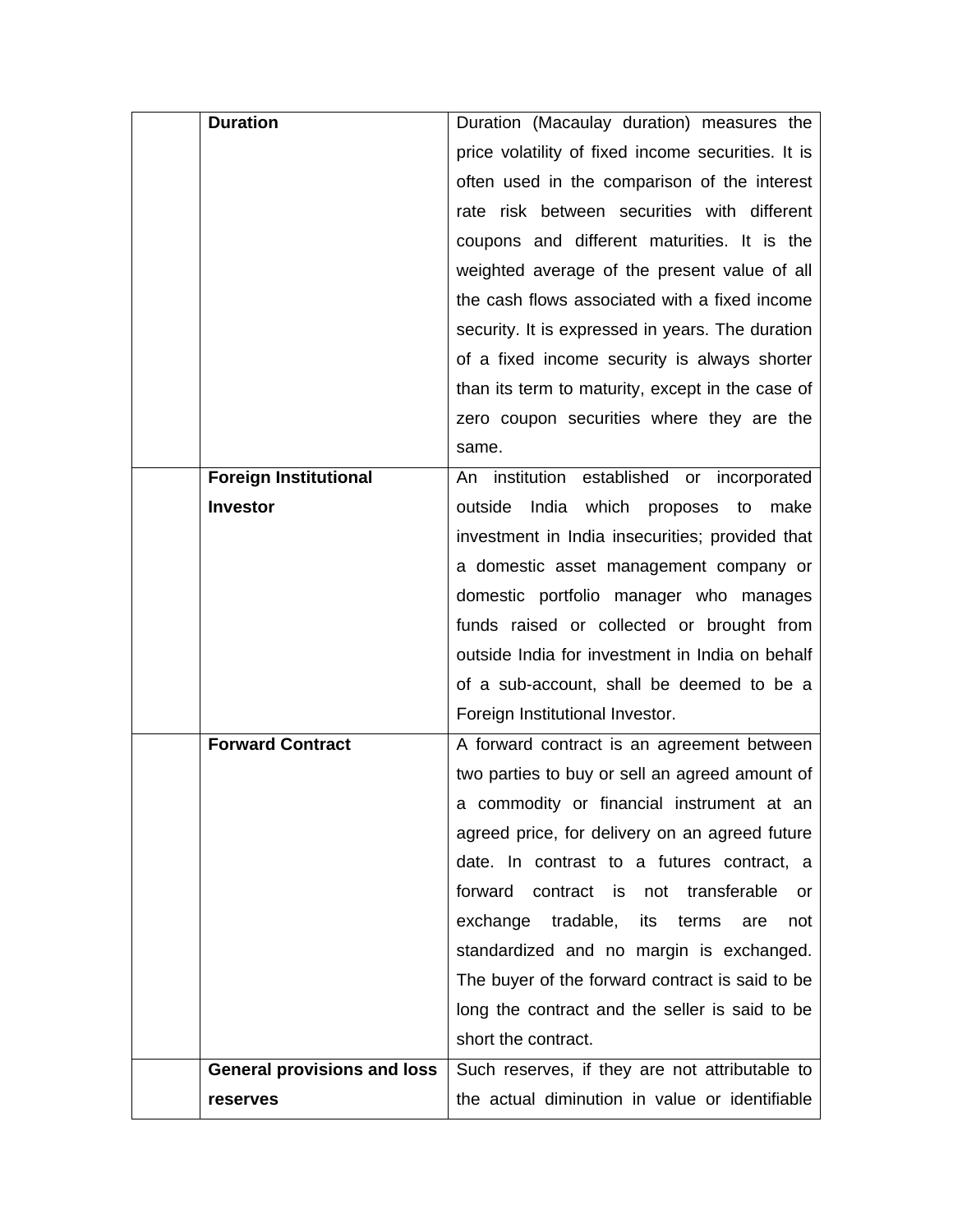| <b>Duration</b>                    | Duration (Macaulay duration) measures the           |
|------------------------------------|-----------------------------------------------------|
|                                    | price volatility of fixed income securities. It is  |
|                                    | often used in the comparison of the interest        |
|                                    | rate risk between securities with different         |
|                                    | coupons and different maturities. It is the         |
|                                    | weighted average of the present value of all        |
|                                    | the cash flows associated with a fixed income       |
|                                    | security. It is expressed in years. The duration    |
|                                    | of a fixed income security is always shorter        |
|                                    | than its term to maturity, except in the case of    |
|                                    | zero coupon securities where they are the           |
|                                    | same.                                               |
| <b>Foreign Institutional</b>       | institution established or incorporated<br>An       |
| <b>Investor</b>                    | outside<br>India<br>which proposes<br>to<br>make    |
|                                    | investment in India insecurities; provided that     |
|                                    | a domestic asset management company or              |
|                                    | domestic portfolio manager who manages              |
|                                    | funds raised or collected or brought from           |
|                                    | outside India for investment in India on behalf     |
|                                    | of a sub-account, shall be deemed to be a           |
|                                    | Foreign Institutional Investor.                     |
| <b>Forward Contract</b>            | A forward contract is an agreement between          |
|                                    | two parties to buy or sell an agreed amount of      |
|                                    | a commodity or financial instrument at an           |
|                                    | agreed price, for delivery on an agreed future      |
|                                    | date. In contrast to a futures contract, a          |
|                                    | forward<br>contract is<br>not transferable<br>or    |
|                                    | tradable,<br>exchange<br>its<br>terms<br>are<br>not |
|                                    | standardized and no margin is exchanged.            |
|                                    | The buyer of the forward contract is said to be     |
|                                    | long the contract and the seller is said to be      |
|                                    | short the contract.                                 |
| <b>General provisions and loss</b> | Such reserves, if they are not attributable to      |
| reserves                           | the actual diminution in value or identifiable      |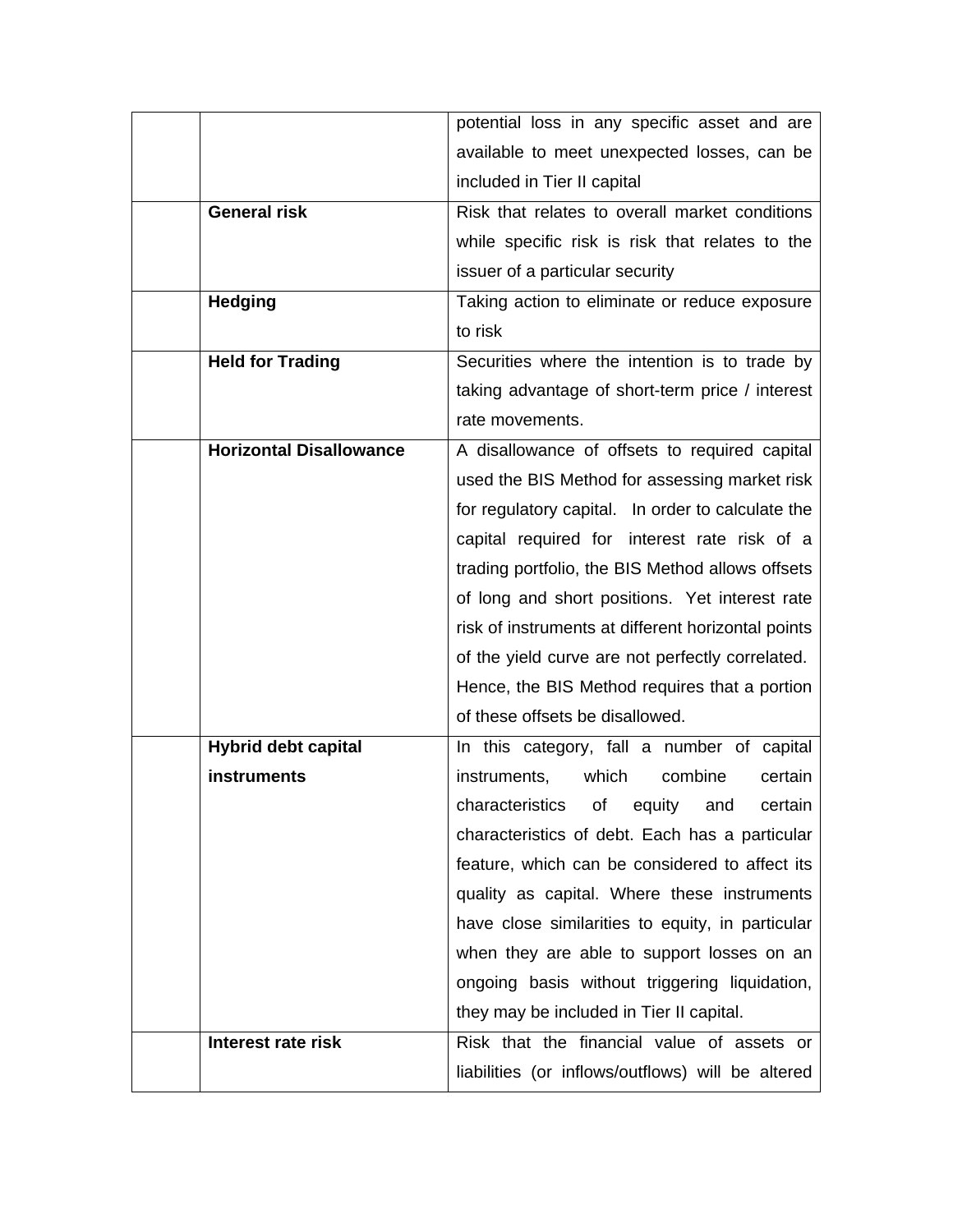|                                | potential loss in any specific asset and are       |
|--------------------------------|----------------------------------------------------|
|                                | available to meet unexpected losses, can be        |
|                                | included in Tier II capital                        |
| <b>General risk</b>            | Risk that relates to overall market conditions     |
|                                | while specific risk is risk that relates to the    |
|                                | issuer of a particular security                    |
| <b>Hedging</b>                 | Taking action to eliminate or reduce exposure      |
|                                | to risk                                            |
| <b>Held for Trading</b>        | Securities where the intention is to trade by      |
|                                | taking advantage of short-term price / interest    |
|                                | rate movements.                                    |
| <b>Horizontal Disallowance</b> | A disallowance of offsets to required capital      |
|                                | used the BIS Method for assessing market risk      |
|                                | for regulatory capital. In order to calculate the  |
|                                | capital required for interest rate risk of a       |
|                                | trading portfolio, the BIS Method allows offsets   |
|                                | of long and short positions. Yet interest rate     |
|                                | risk of instruments at different horizontal points |
|                                | of the yield curve are not perfectly correlated.   |
|                                | Hence, the BIS Method requires that a portion      |
|                                | of these offsets be disallowed.                    |
| <b>Hybrid debt capital</b>     | In this category, fall a number of capital         |
| instruments                    | instruments,<br>which<br>combine<br>certain        |
|                                | characteristics of equity and certain              |
|                                | characteristics of debt. Each has a particular     |
|                                | feature, which can be considered to affect its     |
|                                | quality as capital. Where these instruments        |
|                                | have close similarities to equity, in particular   |
|                                | when they are able to support losses on an         |
|                                | ongoing basis without triggering liquidation,      |
|                                | they may be included in Tier II capital.           |
| Interest rate risk             | Risk that the financial value of assets or         |
|                                | liabilities (or inflows/outflows) will be altered  |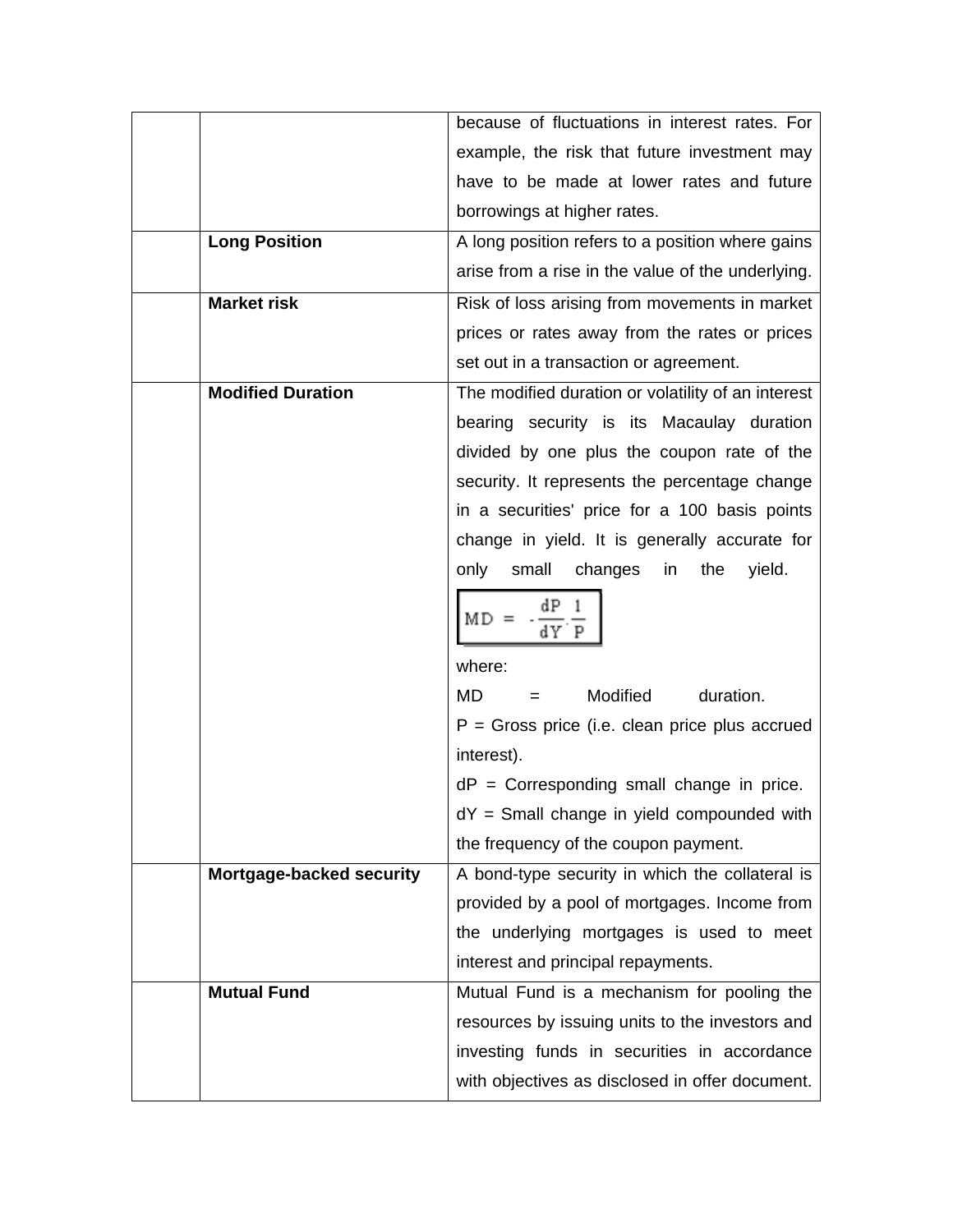|                          | because of fluctuations in interest rates. For     |
|--------------------------|----------------------------------------------------|
|                          | example, the risk that future investment may       |
|                          | have to be made at lower rates and future          |
|                          | borrowings at higher rates.                        |
| <b>Long Position</b>     | A long position refers to a position where gains   |
|                          | arise from a rise in the value of the underlying.  |
| <b>Market risk</b>       | Risk of loss arising from movements in market      |
|                          | prices or rates away from the rates or prices      |
|                          | set out in a transaction or agreement.             |
| <b>Modified Duration</b> | The modified duration or volatility of an interest |
|                          | bearing security is its Macaulay duration          |
|                          | divided by one plus the coupon rate of the         |
|                          | security. It represents the percentage change      |
|                          | in a securities' price for a 100 basis points      |
|                          | change in yield. It is generally accurate for      |
|                          | only<br>small<br>changes<br>the<br>yield.<br>in.   |
|                          | dΡ<br>MD =<br>dY P                                 |
|                          | where:                                             |
|                          | Modified<br>duration.<br>MD                        |
|                          | $P =$ Gross price (i.e. clean price plus accrued   |
|                          | interest).                                         |
|                          | $dP =$ Corresponding small change in price.        |
|                          | dY = Small change in yield compounded with         |
|                          | the frequency of the coupon payment.               |
| Mortgage-backed security | A bond-type security in which the collateral is    |
|                          | provided by a pool of mortgages. Income from       |
|                          | the underlying mortgages is used to meet           |
|                          | interest and principal repayments.                 |
| <b>Mutual Fund</b>       | Mutual Fund is a mechanism for pooling the         |
|                          | resources by issuing units to the investors and    |
|                          | investing funds in securities in accordance        |
|                          | with objectives as disclosed in offer document.    |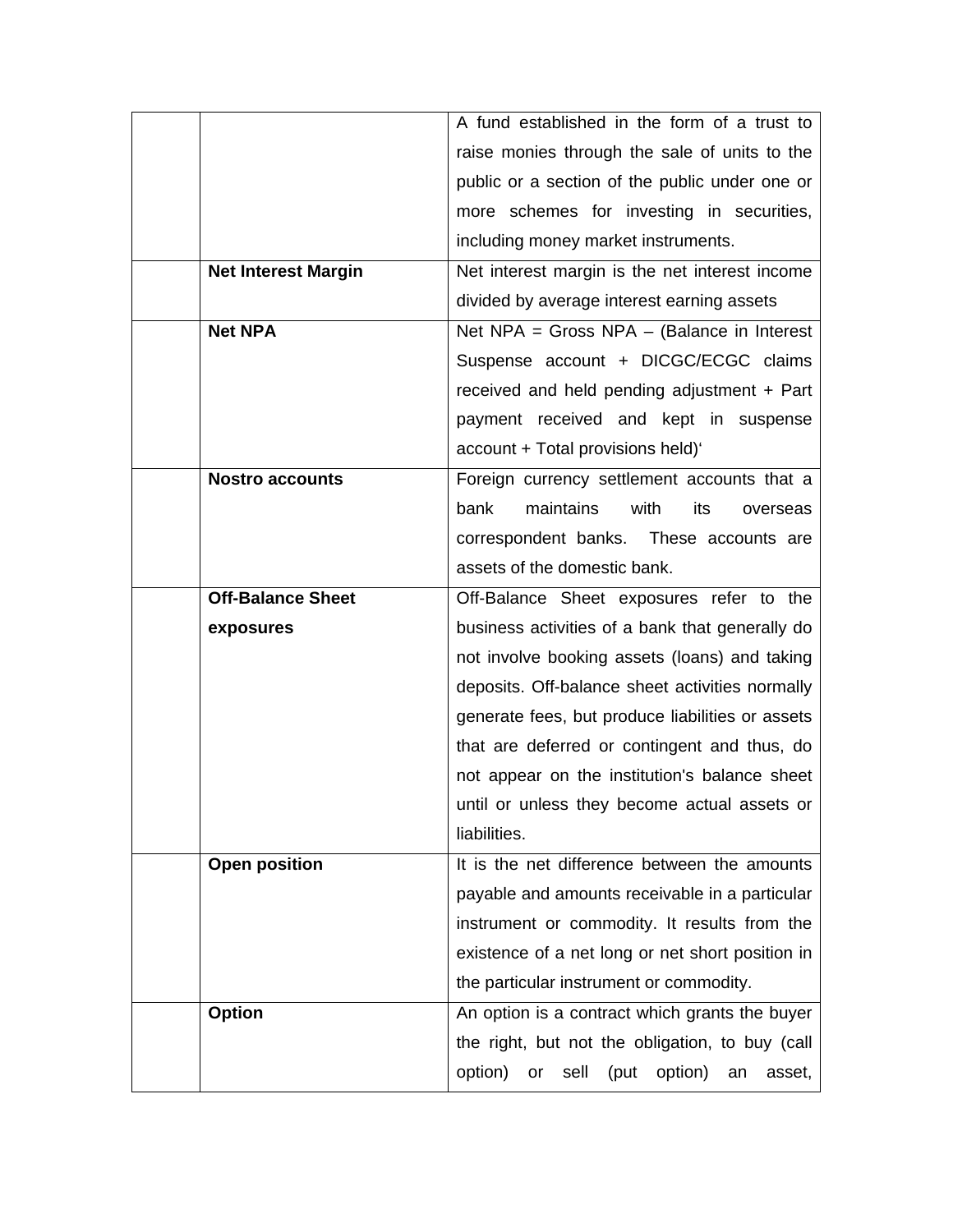|                            | A fund established in the form of a trust to             |
|----------------------------|----------------------------------------------------------|
|                            | raise monies through the sale of units to the            |
|                            | public or a section of the public under one or           |
|                            | more schemes for investing in securities,                |
|                            | including money market instruments.                      |
| <b>Net Interest Margin</b> | Net interest margin is the net interest income           |
|                            | divided by average interest earning assets               |
| <b>Net NPA</b>             | Net NPA = Gross NPA $-$ (Balance in Interest             |
|                            | Suspense account + DICGC/ECGC claims                     |
|                            | received and held pending adjustment + Part              |
|                            | payment received and kept in suspense                    |
|                            | account + Total provisions held)'                        |
| <b>Nostro accounts</b>     | Foreign currency settlement accounts that a              |
|                            | bank<br>maintains<br>with<br>its<br>overseas             |
|                            | correspondent banks. These accounts are                  |
|                            | assets of the domestic bank.                             |
| <b>Off-Balance Sheet</b>   | Off-Balance Sheet exposures refer to the                 |
| exposures                  | business activities of a bank that generally do          |
|                            | not involve booking assets (loans) and taking            |
|                            | deposits. Off-balance sheet activities normally          |
|                            | generate fees, but produce liabilities or assets         |
|                            | that are deferred or contingent and thus, do             |
|                            | not appear on the institution's balance sheet            |
|                            | until or unless they become actual assets or             |
|                            | liabilities.                                             |
| <b>Open position</b>       | It is the net difference between the amounts             |
|                            | payable and amounts receivable in a particular           |
|                            | instrument or commodity. It results from the             |
|                            | existence of a net long or net short position in         |
|                            | the particular instrument or commodity.                  |
| <b>Option</b>              | An option is a contract which grants the buyer           |
|                            | the right, but not the obligation, to buy (call          |
|                            | option)<br>sell<br>(put<br>option)<br>or<br>an<br>asset, |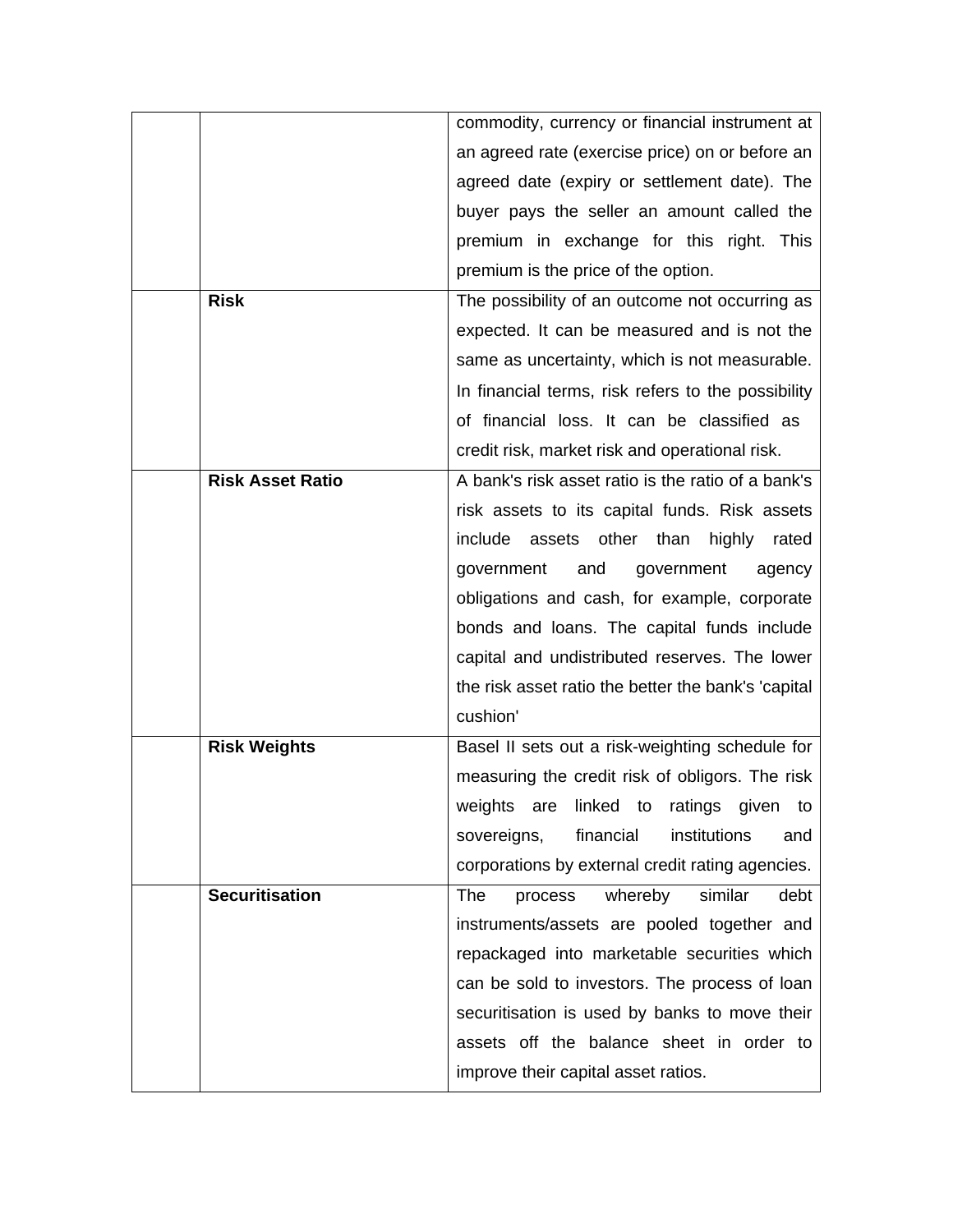|                         | commodity, currency or financial instrument at      |
|-------------------------|-----------------------------------------------------|
|                         | an agreed rate (exercise price) on or before an     |
|                         | agreed date (expiry or settlement date). The        |
|                         | buyer pays the seller an amount called the          |
|                         | premium in exchange for this right. This            |
|                         | premium is the price of the option.                 |
| <b>Risk</b>             | The possibility of an outcome not occurring as      |
|                         | expected. It can be measured and is not the         |
|                         | same as uncertainty, which is not measurable.       |
|                         | In financial terms, risk refers to the possibility  |
|                         | of financial loss. It can be classified as          |
|                         | credit risk, market risk and operational risk.      |
| <b>Risk Asset Ratio</b> | A bank's risk asset ratio is the ratio of a bank's  |
|                         | risk assets to its capital funds. Risk assets       |
|                         | include<br>assets<br>other than<br>highly<br>rated  |
|                         | government<br>and<br>government<br>agency           |
|                         | obligations and cash, for example, corporate        |
|                         | bonds and loans. The capital funds include          |
|                         | capital and undistributed reserves. The lower       |
|                         | the risk asset ratio the better the bank's 'capital |
|                         | cushion'                                            |
| <b>Risk Weights</b>     | Basel II sets out a risk-weighting schedule for     |
|                         | measuring the credit risk of obligors. The risk     |
|                         | weights are linked to ratings given to              |
|                         | financial<br>institutions<br>sovereigns,<br>and     |
|                         | corporations by external credit rating agencies.    |
| <b>Securitisation</b>   | whereby<br>similar<br>debt<br>The<br>process        |
|                         | instruments/assets are pooled together and          |
|                         | repackaged into marketable securities which         |
|                         | can be sold to investors. The process of loan       |
|                         | securitisation is used by banks to move their       |
|                         | assets off the balance sheet in order to            |
|                         | improve their capital asset ratios.                 |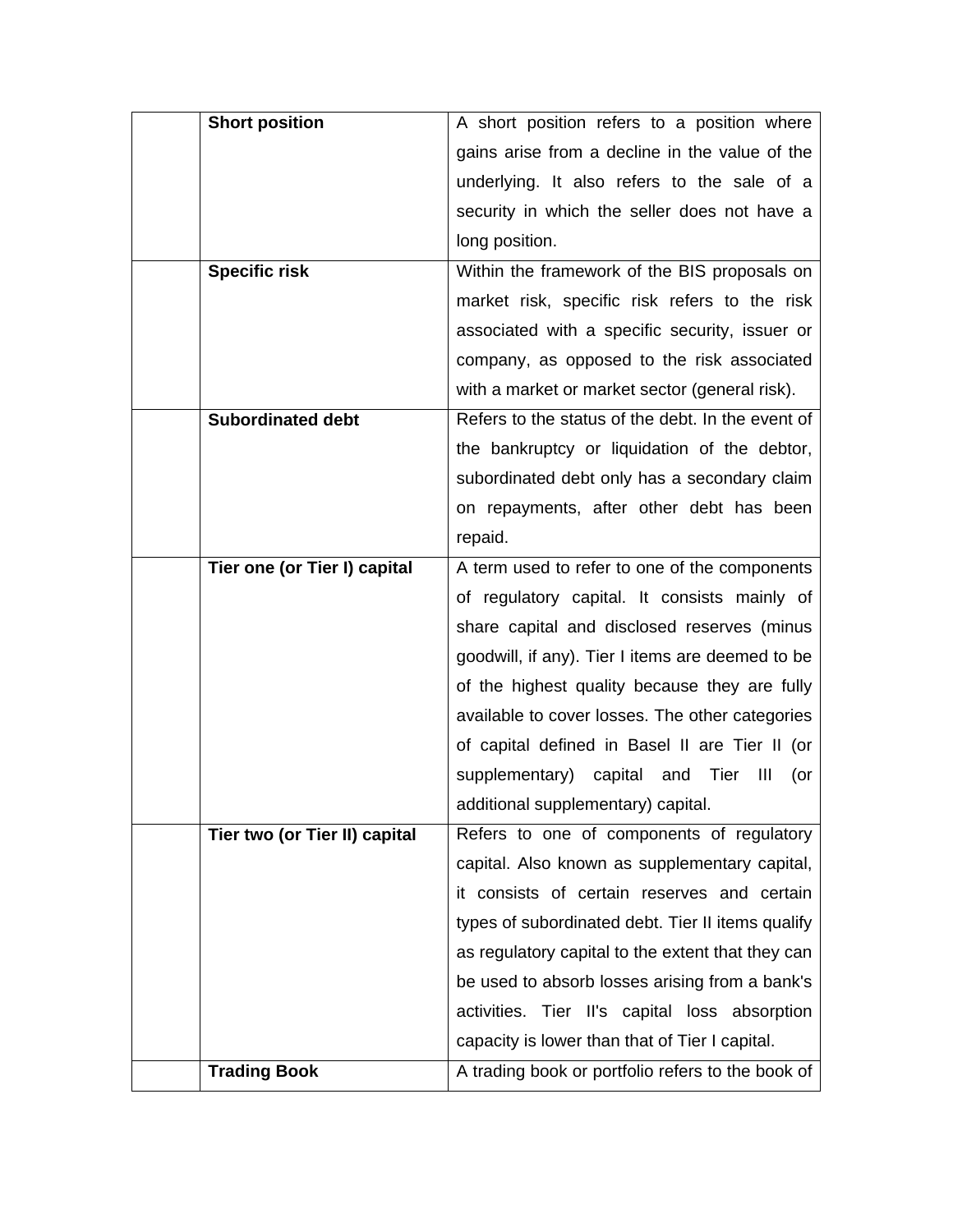| <b>Short position</b>         | A short position refers to a position where       |
|-------------------------------|---------------------------------------------------|
|                               | gains arise from a decline in the value of the    |
|                               | underlying. It also refers to the sale of a       |
|                               | security in which the seller does not have a      |
|                               | long position.                                    |
| <b>Specific risk</b>          | Within the framework of the BIS proposals on      |
|                               | market risk, specific risk refers to the risk     |
|                               | associated with a specific security, issuer or    |
|                               | company, as opposed to the risk associated        |
|                               | with a market or market sector (general risk).    |
| <b>Subordinated debt</b>      | Refers to the status of the debt. In the event of |
|                               | the bankruptcy or liquidation of the debtor,      |
|                               | subordinated debt only has a secondary claim      |
|                               | on repayments, after other debt has been          |
|                               | repaid.                                           |
| Tier one (or Tier I) capital  | A term used to refer to one of the components     |
|                               | of regulatory capital. It consists mainly of      |
|                               | share capital and disclosed reserves (minus       |
|                               | goodwill, if any). Tier I items are deemed to be  |
|                               | of the highest quality because they are fully     |
|                               | available to cover losses. The other categories   |
|                               | of capital defined in Basel II are Tier II (or    |
|                               | supplementary) capital and Tier<br>Ш<br>(or       |
|                               | additional supplementary) capital.                |
| Tier two (or Tier II) capital | Refers to one of components of regulatory         |
|                               | capital. Also known as supplementary capital,     |
|                               | it consists of certain reserves and certain       |
|                               | types of subordinated debt. Tier II items qualify |
|                               | as regulatory capital to the extent that they can |
|                               | be used to absorb losses arising from a bank's    |
|                               | activities. Tier II's capital loss absorption     |
|                               | capacity is lower than that of Tier I capital.    |
| <b>Trading Book</b>           | A trading book or portfolio refers to the book of |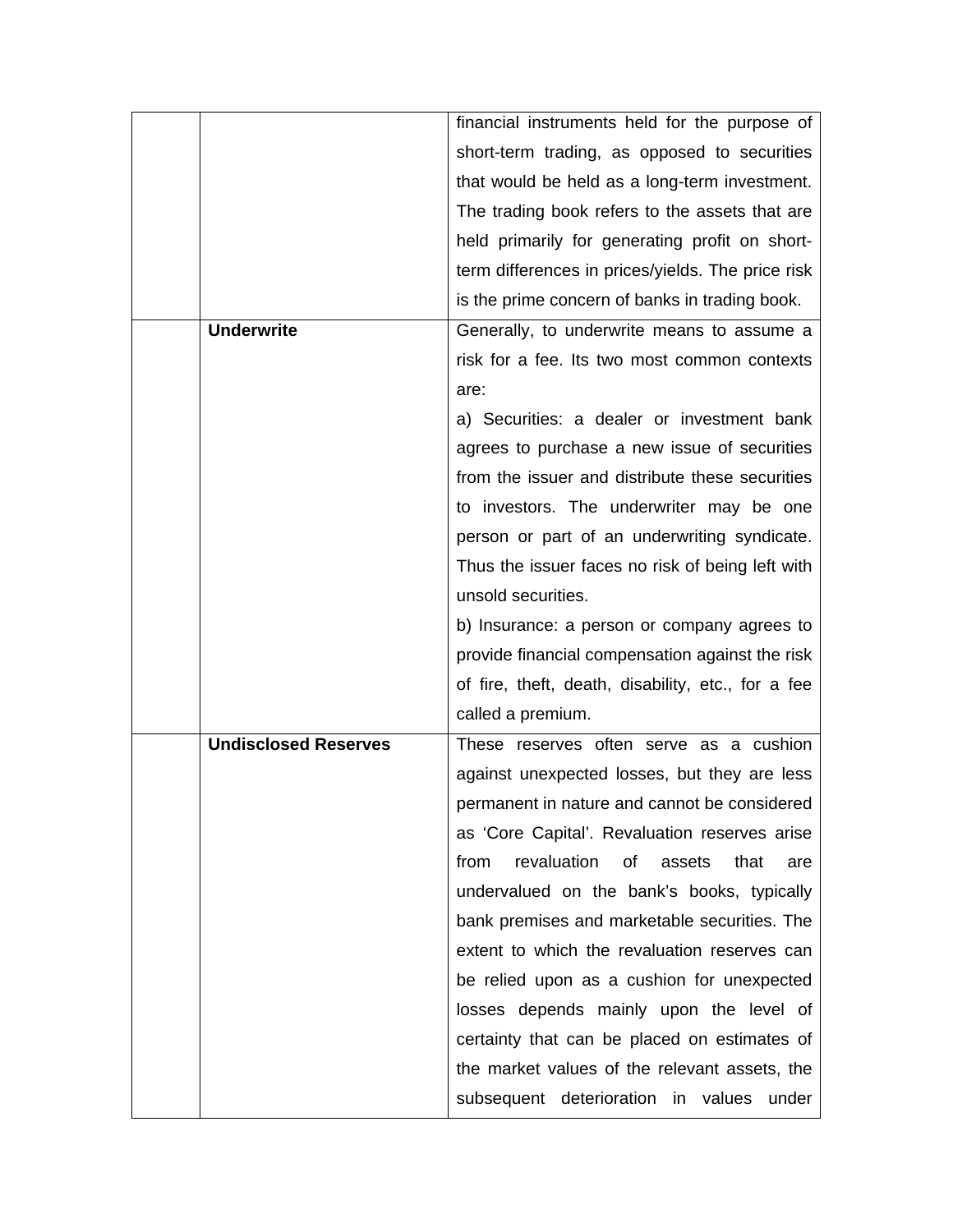|                             | financial instruments held for the purpose of      |
|-----------------------------|----------------------------------------------------|
|                             | short-term trading, as opposed to securities       |
|                             |                                                    |
|                             | that would be held as a long-term investment.      |
|                             | The trading book refers to the assets that are     |
|                             | held primarily for generating profit on short-     |
|                             | term differences in prices/yields. The price risk  |
|                             | is the prime concern of banks in trading book.     |
| <b>Underwrite</b>           | Generally, to underwrite means to assume a         |
|                             | risk for a fee. Its two most common contexts       |
|                             | are:                                               |
|                             | a) Securities: a dealer or investment bank         |
|                             | agrees to purchase a new issue of securities       |
|                             | from the issuer and distribute these securities    |
|                             | to investors. The underwriter may be one           |
|                             | person or part of an underwriting syndicate.       |
|                             | Thus the issuer faces no risk of being left with   |
|                             | unsold securities.                                 |
|                             | b) Insurance: a person or company agrees to        |
|                             | provide financial compensation against the risk    |
|                             | of fire, theft, death, disability, etc., for a fee |
|                             | called a premium.                                  |
| <b>Undisclosed Reserves</b> | These reserves often serve as a cushion            |
|                             | against unexpected losses, but they are less       |
|                             | permanent in nature and cannot be considered       |
|                             | as 'Core Capital'. Revaluation reserves arise      |
|                             | revaluation<br>of<br>from<br>assets<br>that<br>are |
|                             | undervalued on the bank's books, typically         |
|                             | bank premises and marketable securities. The       |
|                             | extent to which the revaluation reserves can       |
|                             | be relied upon as a cushion for unexpected         |
|                             | losses depends mainly upon the level of            |
|                             | certainty that can be placed on estimates of       |
|                             | the market values of the relevant assets, the      |
|                             | subsequent deterioration in values<br>under        |
|                             |                                                    |